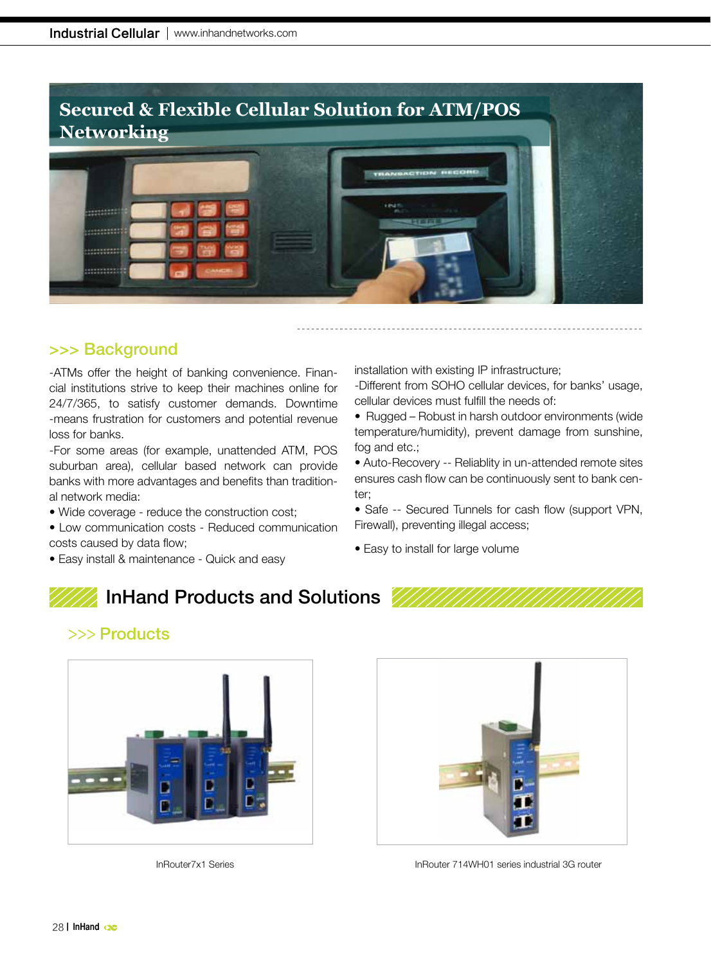

## >>> Background

-ATMs offer the height of banking convenience. Financial institutions strive to keep their machines online for 24/7/365, to satisfy customer demands. Downtime -means frustration for customers and potential revenue loss for banks.

-For some areas (for example, unattended ATM, POS suburban area), cellular based network can provide banks with more advantages and benefits than traditional network media:

- Wide coverage reduce the construction cost;
- Low communication costs Reduced communication costs caused by data flow;
- Easy install & maintenance Quick and easy

installation with existing IP infrastructure;

-Different from SOHO cellular devices, for banks' usage, cellular devices must fulfill the needs of:

• Rugged – Robust in harsh outdoor environments (wide temperature/humidity), prevent damage from sunshine, fog and etc.;

• Auto-Recovery -- Reliablity in un-attended remote sites ensures cash flow can be continuously sent to bank center;

• Safe -- Secured Tunnels for cash flow (support VPN, Firewall), preventing illegal access;

• Easy to install for large volume

## InHand Products and Solutions







InRouter7x1 Series **Information Community** InRouter 714WH01 series industrial 3G router